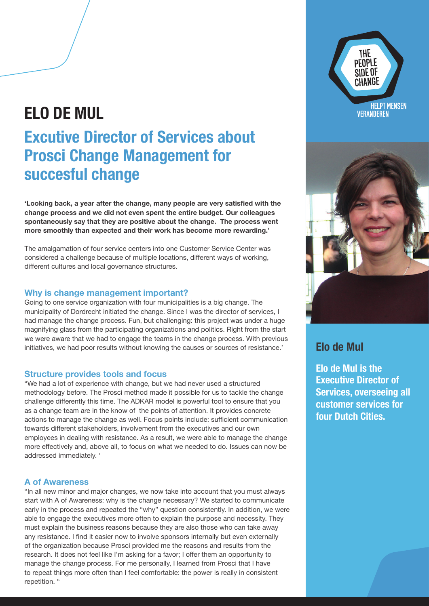## **ELO DE MUL**

# **Excutive Director of Services about Prosci Change Management for succesful change**

**'Looking back, a year after the change, many people are very satisfied with the change process and we did not even spent the entire budget. Our colleagues spontaneously say that they are positive about the change. The process went more smoothly than expected and their work has become more rewarding.'**

The amalgamation of four service centers into one Customer Service Center was considered a challenge because of multiple locations, different ways of working, different cultures and local governance structures.

#### **Why is change management important?**

Going to one service organization with four municipalities is a big change. The municipality of Dordrecht initiated the change. Since I was the director of services, I had manage the change process. Fun, but challenging: this project was under a huge magnifying glass from the participating organizations and politics. Right from the start we were aware that we had to engage the teams in the change process. With previous initiatives, we had poor results without knowing the causes or sources of resistance.'

### **Structure provides tools and focus**

"We had a lot of experience with change, but we had never used a structured methodology before. The Prosci method made it possible for us to tackle the change challenge differently this time. The ADKAR model is powerful tool to ensure that you as a change team are in the know of the points of attention. It provides concrete actions to manage the change as well. Focus points include: sufficient communication towards different stakeholders, involvement from the executives and our own employees in dealing with resistance. As a result, we were able to manage the change more effectively and, above all, to focus on what we needed to do. Issues can now be addressed immediately. '

#### **A of Awareness**

"In all new minor and major changes, we now take into account that you must always start with A of Awareness: why is the change necessary? We started to communicate early in the process and repeated the "why" question consistently. In addition, we were able to engage the executives more often to explain the purpose and necessity. They must explain the business reasons because they are also those who can take away any resistance. I find it easier now to involve sponsors internally but even externally of the organization because Prosci provided me the reasons and results from the research. It does not feel like I'm asking for a favor; I offer them an opportunity to manage the change process. For me personally, I learned from Prosci that I have to repeat things more often than I feel comfortable: the power is really in consistent repetition. "





### **Elo de Mul**

**Elo de Mul is the Executive Director of Services, overseeing all customer services for four Dutch Cities.**